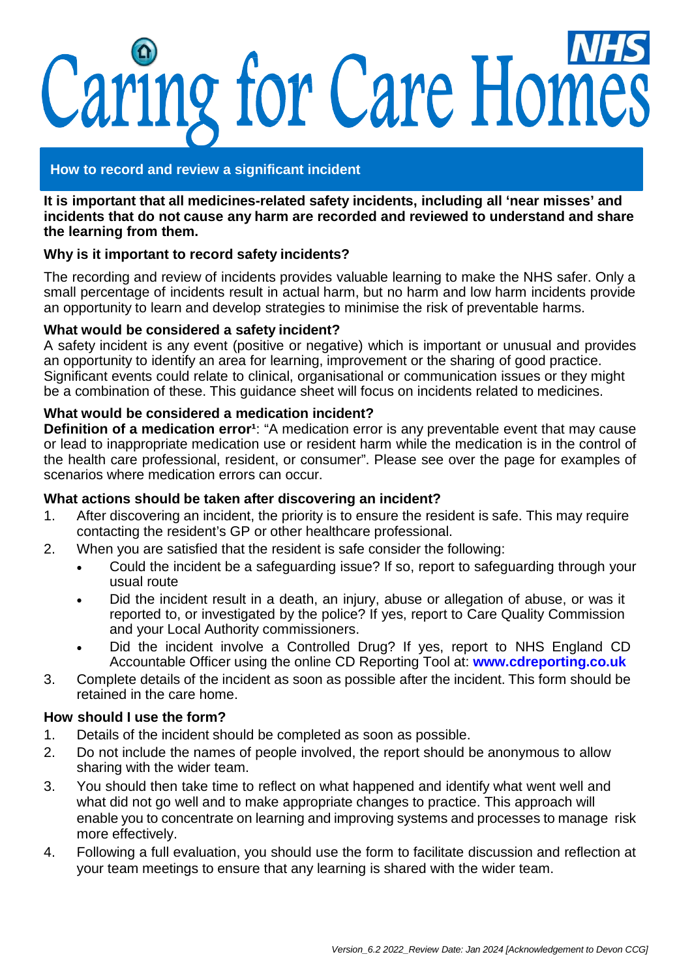# Caring for Care Homes

## **How to record and review a significant incident**

**It is important that all medicines-related safety incidents, including all 'near misses' and incidents that do not cause any harm are recorded and reviewed to understand and share the learning from them.**

## **Why is it important to record safety incidents?**

The recording and review of incidents provides valuable learning to make the NHS safer. Only a small percentage of incidents result in actual harm, but no harm and low harm incidents provide an opportunity to learn and develop strategies to minimise the risk of preventable harms.

#### **What would be considered a safety incident?**

A safety incident is any event (positive or negative) which is important or unusual and provides an opportunity to identify an area for learning, improvement or the sharing of good practice. Significant events could relate to clinical, organisational or communication issues or they might be a combination of these. This guidance sheet will focus on incidents related to medicines.

#### **What would be considered a medication incident?**

**Definition of a medication error<sup>1</sup>:** "A medication error is any preventable event that may cause or lead to inappropriate medication use or resident harm while the medication is in the control of the health care professional, resident, or consumer". Please see over the page for examples of scenarios where medication errors can occur.

## **What actions should be taken after discovering an incident?**

- 1. After discovering an incident, the priority is to ensure the resident is safe. This may require contacting the resident's GP or other healthcare professional.
- 2. When you are satisfied that the resident is safe consider the following:
	- Could the incident be a safeguarding issue? If so, report to safeguarding through your usual route
	- Did the incident result in a death, an injury, abuse or allegation of abuse, or was it reported to, or investigated by the police? If yes, report to Care Quality Commission and your Local Authority commissioners.
	- Did the incident involve a Controlled Drug? If yes, report to NHS England CD Accountable Officer using the online CD Reporting Tool at: **[www.cdreporting.co.uk](http://www.cdreporting.co.uk/)**
- 3. Complete details of the incident as soon as possible after the incident. This form should be retained in the care home.

#### **How should I use the form?**

- 1. Details of the incident should be completed as soon as possible.
- 2. Do not include the names of people involved, the report should be anonymous to allow sharing with the wider team.
- 3. You should then take time to reflect on what happened and identify what went well and what did not go well and to make appropriate changes to practice. This approach will enable you to concentrate on learning and improving systems and processes to manage risk more effectively.
- 4. Following a full evaluation, you should use the form to facilitate discussion and reflection at your team meetings to ensure that any learning is shared with the wider team.